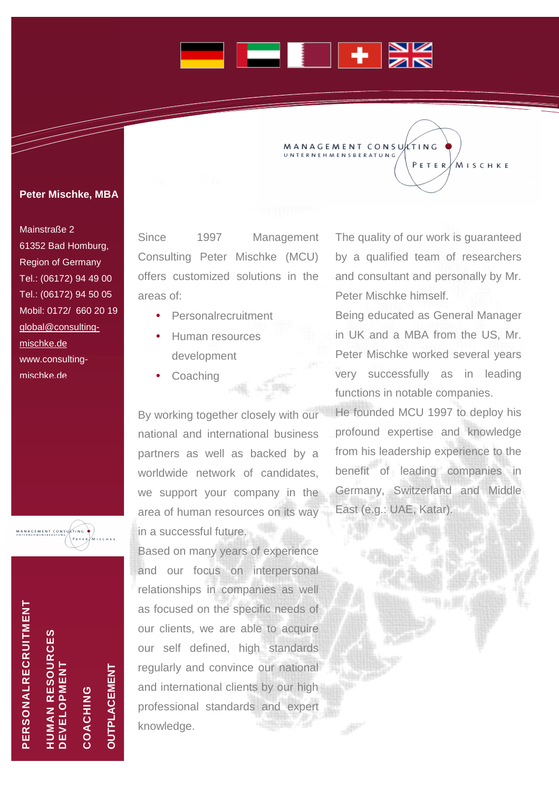

UNTERNEHMENSRERATUNG



Mainstraße 2 61352 Bad Homburg, Region of Germany Tel.: (06172) 94 49 00 Tel.: (06172) 94 50 05 Mobil: 0172/ 660 20 19 global@consultingmischke.de www.consultingmischke.de



# **HUMAN RESOURCES HUMAN RESOURCES<br>DEVELOPMENT DEVELOPMENT COACHING**  COACHING

**OUTPLACEMENT**

**OUTPLACEMENT** 

**PERSONALRECRUITMENT** 

**PERSONALRECRUITMENT** 

Since 1997 Management Consulting Peter Mischke (MCU) offers customized solutions in the areas of:

- Personalrecruitment
- Human resources development
- **Coaching**

By working together closely with our national and international business partners as well as backed by a worldwide network of candidates, we support your company in the area of human resources on its way in a successful future.

Based on many years of experience and our focus on interpersonal relationships in companies as well as focused on the specific needs of our clients, we are able to acquire our self defined, high standards regularly and convince our national and international clients by our high professional standards and expert knowledge.

The quality of our work is guaranteed by a qualified team of researchers and consultant and personally by Mr. Peter Mischke himself.

**PETER** 

 $/M$  I S C H K E

Being educated as General Manager in UK and a MBA from the US, Mr. Peter Mischke worked several years very successfully as in leading functions in notable companies.

He founded MCU 1997 to deploy his profound expertise and knowledge from his leadership experience to the benefit of leading companies in Germany, Switzerland and Middle East (e.g.: UAE, Katar).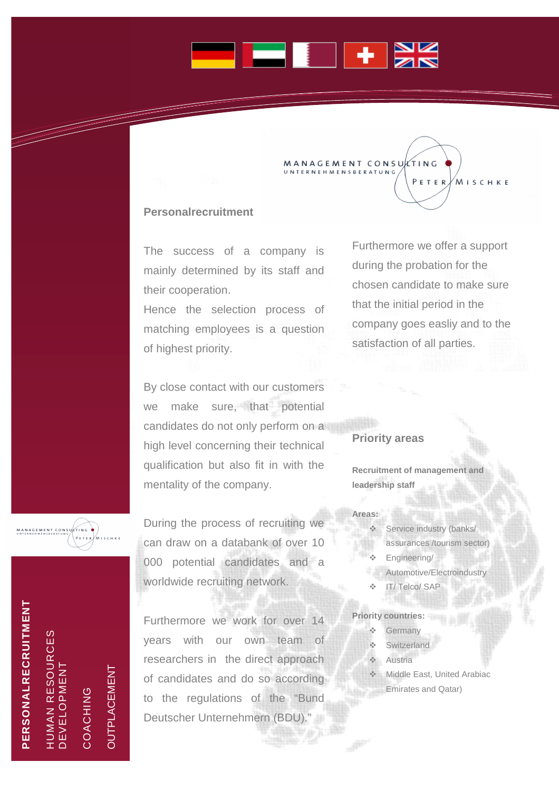

## MANAGEMENT CONSUKTING UNTERNEHMENSBERATUNG PETER **MISCHKE**

## **Personalrecruitment**

The success of a company is mainly determined by its staff and their cooperation.

Hence the selection process of matching employees is a question of highest priority.

By close contact with our customers we make sure, that potential candidates do not only perform on a high level concerning their technical qualification but also fit in with the mentality of the company.

During the process of recruiting we can draw on a databank of over 10 000 potential candidates and a worldwide recruiting network.

HUMAN RESOURCES HUMAN RESOURCES<br>DEVELOPMENT DEVELOPMENT OUTPLACEMENT**OUTPLACEMENT** COACHING COACHING

KTING .

MANAGEMENT CONS

**PERSONALRECRUITMENT** 

**PERSONALRECRUITMENT** 

Furthermore we work for over 14 years with our own team of researchers in the direct approach of candidates and do so according to the regulations of the "Bund Deutscher Unternehmern (BDU)."

Furthermore we offer a support during the probation for the chosen candidate to make sure that the initial period in the company goes easliy and to the satisfaction of all parties.

### **Priority areas**

**Recruitment of management and leadership staff** 

#### **Areas:**

- Service industry (banks/
- assurances /tourism sector)
- Engineering/
- Automotive/Electroindustry
- IT/ Telco/ SAP

#### **Priority countries:**

- Germany
- **❖** Switzerland
- Austria
	- Middle East, United Arabiac Emirates and Qatar)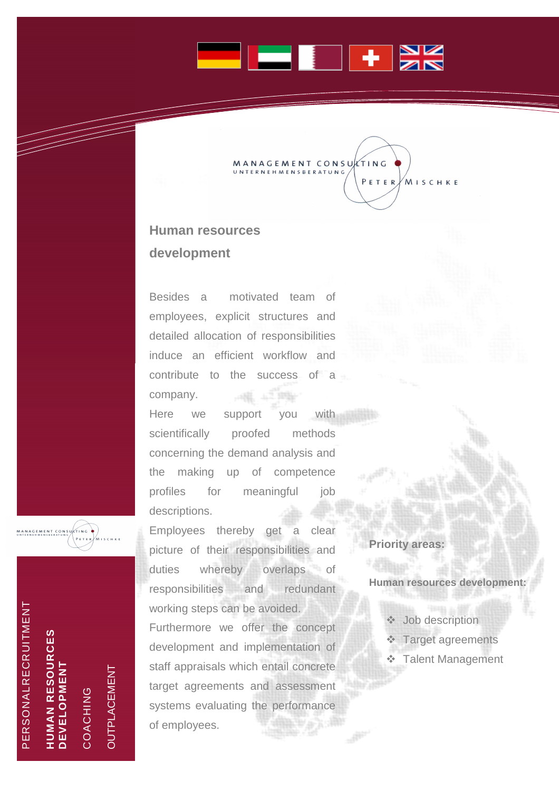

PETER

MISCHKE

UNTERNEHMENSBERATUNG

## **Human resources development**

Besides a motivated team of employees, explicit structures and detailed allocation of responsibilities induce an efficient workflow and contribute to the success of a company.  $, 484.$ 

Here we support you with scientifically proofed methods concerning the demand analysis and the making up of competence profiles for meaningful job descriptions.

Employees thereby get a clear picture of their responsibilities and duties whereby overlaps of responsibilities and redundant working steps can be avoided. Furthermore we offer the concept development and implementation of staff appraisals which entail concrete target agreements and assessment systems evaluating the performance of employees.

### **Priority areas:**

**Human resources development:** 

- Job description
- **↑ Target agreements**
- $\div$  Talent Management

ELOPMENT THE SERVICE PERSONALRECRUITMENT **HUMAN RESOURCES HUMAN RESOURCES<br>DEVELOPMENT DEVELOPMENT** 

PERSONALRECRUITMENT

COACH<br>Coach<br>Coach

OUTPLACEMENT

OUTPLACEMENT

COACHING

COACHING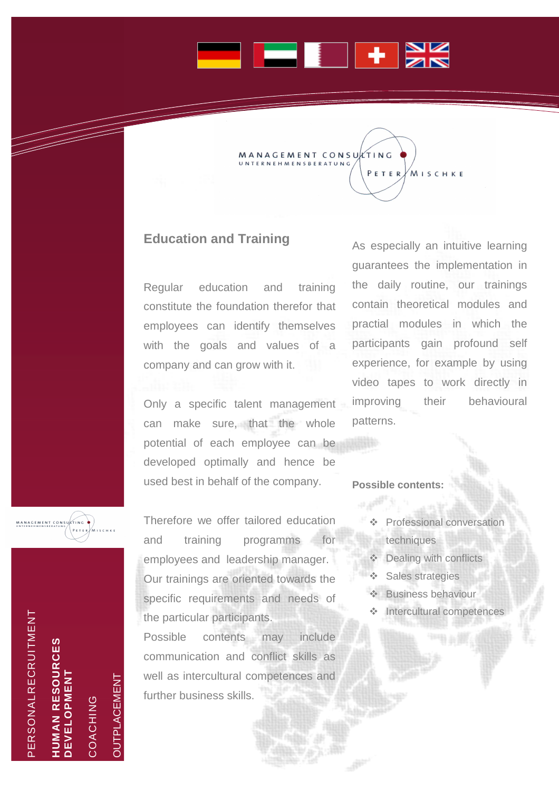

MISCHKE **PETER** 

UNTERNEHMENSRERATUNG

## **Education and Training**

Regular education and training constitute the foundation therefor that employees can identify themselves with the goals and values of a company and can grow with it.

Only a specific talent management can make sure, that the whole potential of each employee can be developed optimally and hence be used best in behalf of the company.



Therefore we offer tailored education and training programms for employees and leadership manager. Our trainings are oriented towards the specific requirements and needs of the particular participants.

Possible contents may include communication and conflict skills as well as intercultural competences and further business skills.

As especially an intuitive learning guarantees the implementation in the daily routine, our trainings contain theoretical modules and practial modules in which the participants gain profound self experience, for example by using video tapes to work directly in improving their behavioural patterns.

## **Possible contents:**

- Professional conversation techniques
- **❖** Dealing with conflicts
- ❖ Sales strategies
- ❖ Business behaviour
- Intercultural competences

**HUMAN RESOURCES HUMAN RESOURCES** 

PERSONALRECRUITMENT

ERSONALRECRUITMENT

**DEVELOPMENT**  EVELOPMENT COACHING COACHING

OUTPLACEMENT

**OUTPLACEMENT**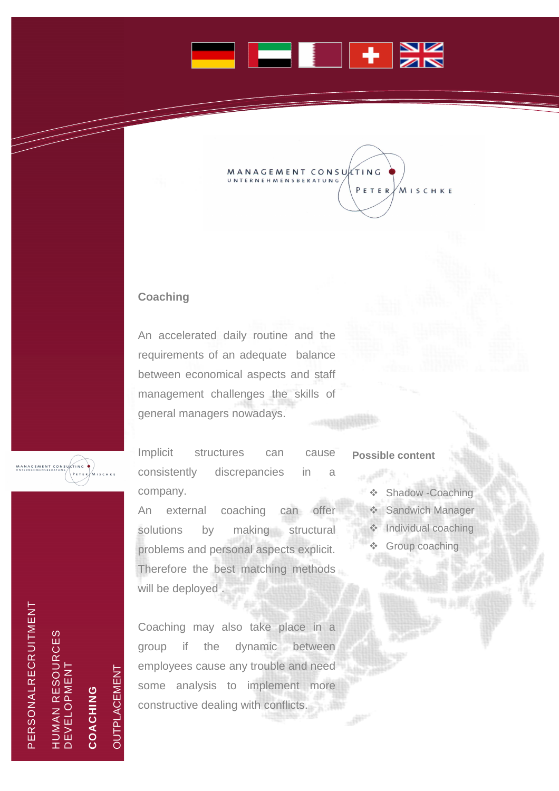



## **Coaching**

An accelerated daily routine and the requirements of an adequate balance between economical aspects and staff management challenges the skills of general managers nowadays.



Implicit structures can cause consistently discrepancies in a company.

An external coaching can offer solutions by making structural problems and personal aspects explicit. Therefore the best matching methods will be deployed

Coaching may also take place in a group if the dynamic between employees cause any trouble and need some analysis to implement more constructive dealing with conflicts.

**Possible content** 

a an<sup>ger</sup> St. H

- ❖ Shadow -Coaching
- ❖ Sandwich Manager
- Individual coaching
- Group coaching

HUMAN RESOURCES

HUMAN RESOURCES<br>DEVELOPMENT DEVELOPMENT **COACHING**  COACHING

OUTPLACEMENT

OUTPLACEMENT